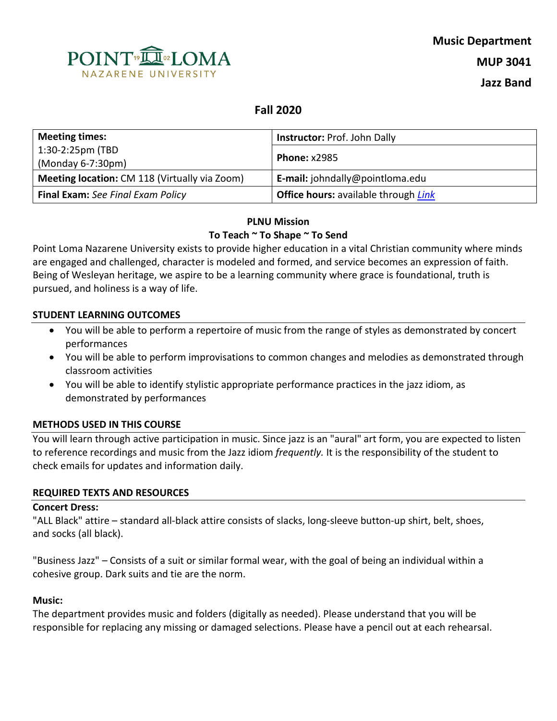

# **Fall 2020**

| <b>Meeting times:</b>                         | <b>Instructor: Prof. John Dally</b>                |  |
|-----------------------------------------------|----------------------------------------------------|--|
| 1:30-2:25pm (TBD                              |                                                    |  |
| (Monday 6-7:30pm)                             | <b>Phone: x2985</b>                                |  |
| Meeting location: CM 118 (Virtually via Zoom) | E-mail: johndally@pointloma.edu                    |  |
| <b>Final Exam:</b> See Final Exam Policy      | <b>Office hours:</b> available through <i>Link</i> |  |

### **PLNU Mission To Teach ~ To Shape ~ To Send**

Point Loma Nazarene University exists to provide higher education in a vital Christian community where minds are engaged and challenged, character is modeled and formed, and service becomes an expression of faith. Being of Wesleyan heritage, we aspire to be a learning community where grace is foundational, truth is pursued, and holiness is a way of life.

### **STUDENT LEARNING OUTCOMES**

- You will be able to perform a repertoire of music from the range of styles as demonstrated by concert performances
- You will be able to perform improvisations to common changes and melodies as demonstrated through classroom activities
- You will be able to identify stylistic appropriate performance practices in the jazz idiom, as demonstrated by performances

#### **METHODS USED IN THIS COURSE**

You will learn through active participation in music. Since jazz is an "aural" art form, you are expected to listen to reference recordings and music from the Jazz idiom *frequently.* It is the responsibility of the student to check emails for updates and information daily.

#### **REQUIRED TEXTS AND RESOURCES**

#### **Concert Dress:**

"ALL Black" attire – standard all-black attire consists of slacks, long-sleeve button-up shirt, belt, shoes, and socks (all black).

"Business Jazz" – Consists of a suit or similar formal wear, with the goal of being an individual within a cohesive group. Dark suits and tie are the norm.

### **Music:**

The department provides music and folders (digitally as needed). Please understand that you will be responsible for replacing any missing or damaged selections. Please have a pencil out at each rehearsal.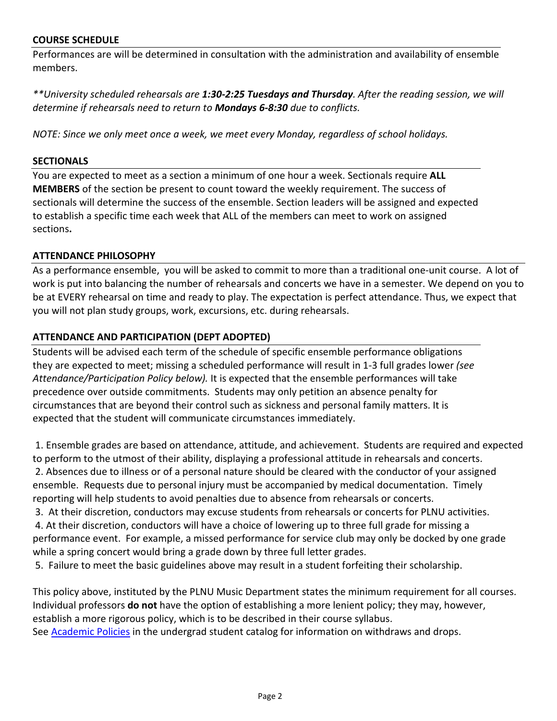#### **COURSE SCHEDULE**

Performances are will be determined in consultation with the administration and availability of ensemble members.

*\*\*University scheduled rehearsals are 1:30-2:25 Tuesdays and Thursday. After the reading session, we will determine if rehearsals need to return to Mondays 6-8:30 due to conflicts.* 

*NOTE: Since we only meet once a week, we meet every Monday, regardless of school holidays.*

#### **SECTIONALS**

You are expected to meet as a section a minimum of one hour a week. Sectionals require **ALL MEMBERS** of the section be present to count toward the weekly requirement. The success of sectionals will determine the success of the ensemble. Section leaders will be assigned and expected to establish a specific time each week that ALL of the members can meet to work on assigned sections**.** 

### **ATTENDANCE PHILOSOPHY**

As a performance ensemble, you will be asked to commit to more than a traditional one-unit course. A lot of work is put into balancing the number of rehearsals and concerts we have in a semester. We depend on you to be at EVERY rehearsal on time and ready to play. The expectation is perfect attendance. Thus, we expect that you will not plan study groups, work, excursions, etc. during rehearsals.

### **ATTENDANCE AND PARTICIPATION (DEPT ADOPTED)**

Students will be advised each term of the schedule of specific ensemble performance obligations they are expected to meet; missing a scheduled performance will result in 1-3 full grades lower *(see Attendance/Participation Policy below).* It is expected that the ensemble performances will take precedence over outside commitments. Students may only petition an absence penalty for circumstances that are beyond their control such as sickness and personal family matters. It is expected that the student will communicate circumstances immediately.

1. Ensemble grades are based on attendance, attitude, and achievement. Students are required and expected to perform to the utmost of their ability, displaying a professional attitude in rehearsals and concerts. 2. Absences due to illness or of a personal nature should be cleared with the conductor of your assigned ensemble. Requests due to personal injury must be accompanied by medical documentation. Timely reporting will help students to avoid penalties due to absence from rehearsals or concerts.

3. At their discretion, conductors may excuse students from rehearsals or concerts for PLNU activities. 4. At their discretion, conductors will have a choice of lowering up to three full grade for missing a performance event. For example, a missed performance for service club may only be docked by one grade

while a spring concert would bring a grade down by three full letter grades.

5. Failure to meet the basic guidelines above may result in a student forfeiting their scholarship.

This policy above, instituted by the PLNU Music Department states the minimum requirement for all courses. Individual professors **do not** have the option of establishing a more lenient policy; they may, however, establish a more rigorous policy, which is to be described in their course syllabus. See [Academic Policies](http://www.pointloma.edu/experience/academics/catalogs/undergraduate-catalog/point-loma-education/academic-policies) in the undergrad student catalog for information on withdraws and drops.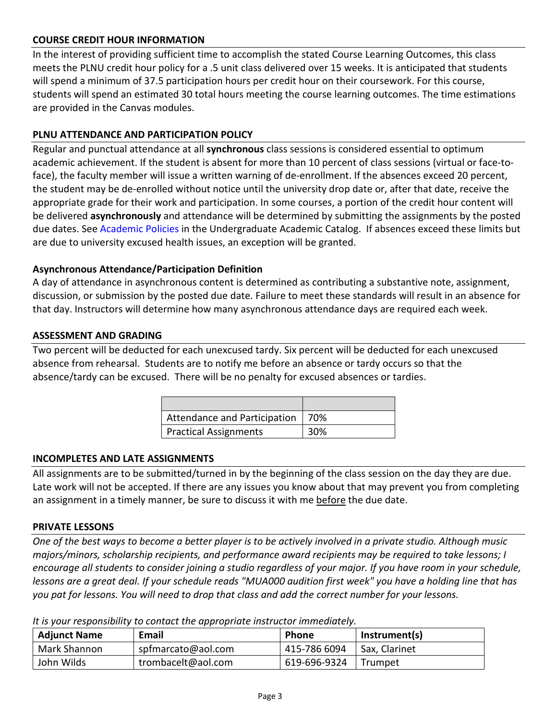### **COURSE CREDIT HOUR INFORMATION**

In the interest of providing sufficient time to accomplish the stated Course Learning Outcomes, this class meets the PLNU credit hour policy for a .5 unit class delivered over 15 weeks. It is anticipated that students will spend a minimum of 37.5 participation hours per credit hour on their coursework. For this course, students will spend an estimated 30 total hours meeting the course learning outcomes. The time estimations are provided in the Canvas modules.

### **PLNU ATTENDANCE AND PARTICIPATION POLICY**

Regular and punctual attendance at all **synchronous** class sessions is considered essential to optimum academic achievement. If the student is absent for more than 10 percent of class sessions (virtual or face-toface), the faculty member will issue a written warning of de-enrollment. If the absences exceed 20 percent, the student may be de-enrolled without notice until the university drop date or, after that date, receive the appropriate grade for their work and participation. In some courses, a portion of the credit hour content will be delivered **asynchronously** and attendance will be determined by submitting the assignments by the posted due dates. See [Academic](https://catalog.pointloma.edu/content.php?catoid=46&navoid=2650#Class_Attendance) Policies in the Undergraduate Academic Catalog. If absences exceed these limits but are due to university excused health issues, an exception will be granted.

### **Asynchronous Attendance/Participation Definition**

A day of attendance in asynchronous content is determined as contributing a substantive note, assignment, discussion, or submission by the posted due date. Failure to meet these standards will result in an absence for that day. Instructors will determine how many asynchronous attendance days are required each week.

#### **ASSESSMENT AND GRADING**

Two percent will be deducted for each unexcused tardy. Six percent will be deducted for each unexcused absence from rehearsal. Students are to notify me before an absence or tardy occurs so that the absence/tardy can be excused. There will be no penalty for excused absences or tardies.

| Attendance and Participation   70% |     |
|------------------------------------|-----|
| <b>Practical Assignments</b>       | 30% |

#### **INCOMPLETES AND LATE ASSIGNMENTS**

All assignments are to be submitted/turned in by the beginning of the class session on the day they are due. Late work will not be accepted. If there are any issues you know about that may prevent you from completing an assignment in a timely manner, be sure to discuss it with me before the due date.

#### **PRIVATE LESSONS**

*One of the best ways to become a better player is to be actively involved in a private studio. Although music majors/minors, scholarship recipients, and performance award recipients may be required to take lessons; I encourage all students to consider joining a studio regardless of your major. If you have room in your schedule, lessons are a great deal. If your schedule reads "MUA000 audition first week" you have a holding line that has you pat for lessons. You will need to drop that class and add the correct number for your lessons.*

| <b>Adjunct Name</b> | Email              | <b>Phone</b> | Instrument(s) |
|---------------------|--------------------|--------------|---------------|
| Mark Shannon        | spfmarcato@aol.com | 415-786 6094 | Sax, Clarinet |
| John Wilds          | trombacelt@aol.com | 619-696-9324 | Trumpet       |

*It is your responsibility to contact the appropriate instructor immediately.*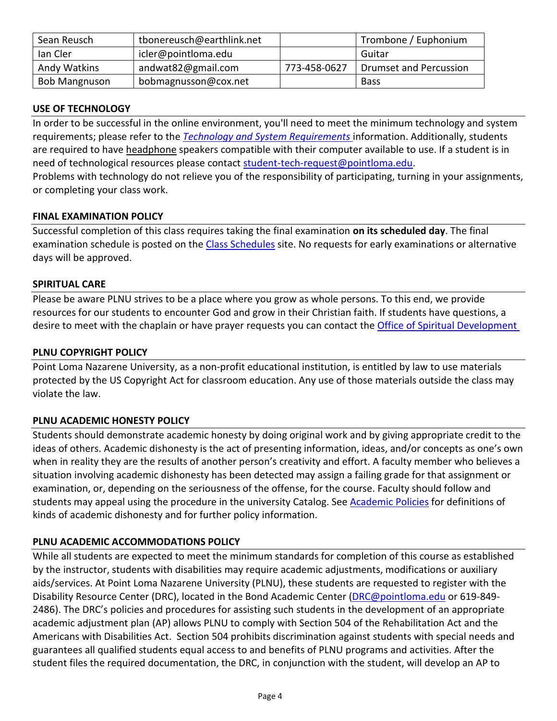| Sean Reusch          | tbonereusch@earthlink.net |              | Trombone / Euphonium   |
|----------------------|---------------------------|--------------|------------------------|
| lan Cler             | icler@pointloma.edu       |              | Guitar                 |
| Andy Watkins         | andwat82@gmail.com        | 773-458-0627 | Drumset and Percussion |
| <b>Bob Mangnuson</b> | bobmagnusson@cox.net      |              | <b>Bass</b>            |

# **USE OF TECHNOLOGY**

In order to be successful in the online environment, you'll need to meet the minimum technology and system requirements; please refer to the *[Technology and System Requirements](https://help.pointloma.edu/TDClient/1808/Portal/KB/ArticleDet?ID=108349)* information. Additionally, students are required to have headphone speakers compatible with their computer available to use. If a student is in need of technological resources please contact [student-tech-request@pointloma.edu.](mailto:student-tech-request@pointloma.edu) Problems with technology do not relieve you of the responsibility of participating, turning in your assignments, or completing your class work.

### **FINAL EXAMINATION POLICY**

Successful completion of this class requires taking the final examination **on its scheduled day**. The final examination schedule is posted on the [Class Schedules](http://www.pointloma.edu/experience/academics/class-schedules) site. No requests for early examinations or alternative days will be approved.

#### **SPIRITUAL CARE**

Please be aware PLNU strives to be a place where you grow as whole persons. To this end, we provide resources for our students to encounter God and grow in their Christian faith. If students have questions, a desire to meet with the chaplain or have prayer requests you can contact th[e Office of Spiritual Development](https://www.pointloma.edu/offices/spiritual-development)

### **PLNU COPYRIGHT POLICY**

Point Loma Nazarene University, as a non-profit educational institution, is entitled by law to use materials protected by the US Copyright Act for classroom education. Any use of those materials outside the class may violate the law.

# **PLNU ACADEMIC HONESTY POLICY**

Students should demonstrate academic honesty by doing original work and by giving appropriate credit to the ideas of others. Academic dishonesty is the act of presenting information, ideas, and/or concepts as one's own when in reality they are the results of another person's creativity and effort. A faculty member who believes a situation involving academic dishonesty has been detected may assign a failing grade for that assignment or examination, or, depending on the seriousness of the offense, for the course. Faculty should follow and students may appeal using the procedure in the university Catalog. Se[e Academic Policies](https://catalog.pointloma.edu/content.php?catoid=41&navoid=2435#Academic_Honesty) for definitions of kinds of academic dishonesty and for further policy information.

# **PLNU ACADEMIC ACCOMMODATIONS POLICY**

While all students are expected to meet the minimum standards for completion of this course as established by the instructor, students with disabilities may require academic adjustments, modifications or auxiliary aids/services. At Point Loma Nazarene University (PLNU), these students are requested to register with the Disability Resource Center (DRC), located in the Bond Academic Center [\(DRC@pointloma.edu](mailto:DRC@pointloma.edu) or 619-849- 2486). The DRC's policies and procedures for assisting such students in the development of an appropriate academic adjustment plan (AP) allows PLNU to comply with Section 504 of the Rehabilitation Act and the Americans with Disabilities Act. Section 504 prohibits discrimination against students with special needs and guarantees all qualified students equal access to and benefits of PLNU programs and activities. After the student files the required documentation, the DRC, in conjunction with the student, will develop an AP to